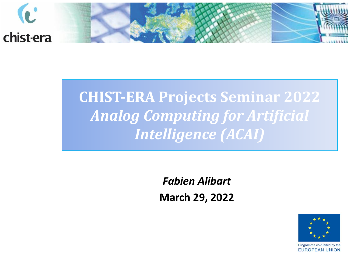

## **CHIST-ERA Projects Seminar 2022** *Analog Computing for Artificial Intelligence (ACAI)*

*Fabien Alibart* **March 29, 2022**

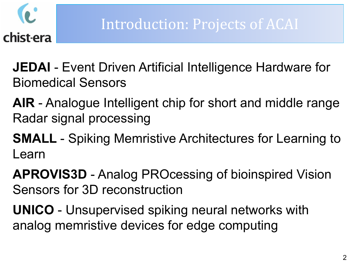

**JEDAI** - Event Driven Artificial Intelligence Hardware for Biomedical Sensors

- **AIR**  Analogue Intelligent chip for short and middle range Radar signal processing
- **SMALL**  Spiking Memristive Architectures for Learning to Learn

**APROVIS3D** - Analog PROcessing of bioinspired Vision Sensors for 3D reconstruction

**UNICO** - Unsupervised spiking neural networks with analog memristive devices for edge computing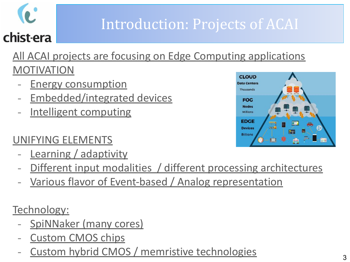## Introduction: Projects of ACAI

#### All ACAI projects are focusing on Edge Computing applications MOTIVATION

- **Energy consumption**
- Embedded/integrated devices
- Intelligent computing

#### UNIFYING ELEMENTS

- Learning / adaptivity
- Different input modalities / different processing architectures
- Various flavor of Event-based / Analog representation

Technology:

- SpiNNaker (many cores)
- Custom CMOS chips
- Custom hybrid CMOS / memristive technologies

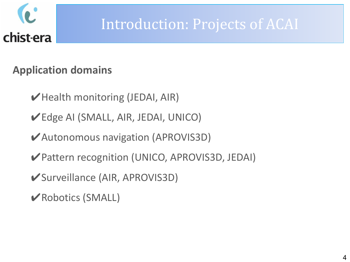

### Introduction: Projects of ACAI

#### **Application domains**

- ✔Health monitoring (JEDAI, AIR)
- ✔Edge AI (SMALL, AIR, JEDAI, UNICO)
- ✔Autonomous navigation (APROVIS3D)
- ✔Pattern recognition (UNICO, APROVIS3D, JEDAI)
- ✔Surveillance (AIR, APROVIS3D)
- ✔Robotics (SMALL)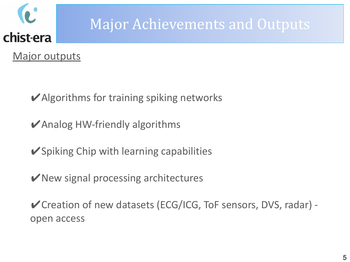

## Major Achievements and Outputs

Major outputs

 $\blacktriangleright$  Algorithms for training spiking networks

 $\blacktriangleright$  Analog HW-friendly algorithms

✔Spiking Chip with learning capabilities

 $\triangleright$  New signal processing architectures

✔Creation of new datasets (ECG/ICG, ToF sensors, DVS, radar) open access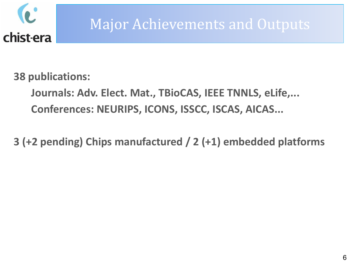

### Major Achievements and Outputs

**38 publications:**

**Journals: Adv. Elect. Mat., TBioCAS, IEEE TNNLS, eLife,... Conferences: NEURIPS, ICONS, ISSCC, ISCAS, AICAS...** 

**3 (+2 pending) Chips manufactured / 2 (+1) embedded platforms**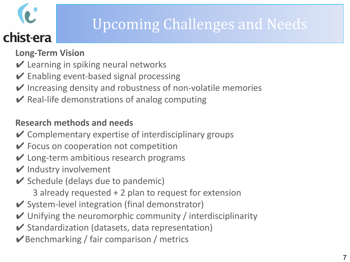## Upcoming Challenges and Needs

- **Long-Term Vision**
- $\vee$  Learning in spiking neural networks
- $\vee$  Enabling event-based signal processing
- $\vee$  Increasing density and robustness of non-volatile memories
- $\vee$  Real-life demonstrations of analog computing

#### **Research methods and needs**

- $\vee$  Complementary expertise of interdisciplinary groups
- $\vee$  Focus on cooperation not competition
- $\vee$  Long-term ambitious research programs
- $\vee$  Industry involvement
- $\triangleright$  Schedule (delays due to pandemic)
	- 3 already requested + 2 plan to request for extension
- $\vee$  System-level integration (final demonstrator)
- $\vee$  Unifying the neuromorphic community / interdisciplinarity
- $\vee$  Standardization (datasets, data representation)
- $\triangledown$  Benchmarking / fair comparison / metrics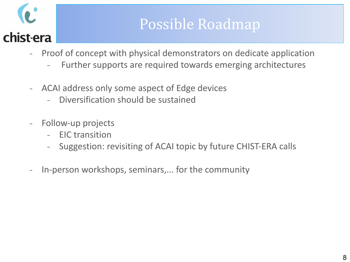### Possible Roadmap

- Proof of concept with physical demonstrators on dedicate application
	- Further supports are required towards emerging architectures
- ACAI address only some aspect of Edge devices
	- Diversification should be sustained
- Follow-up projects
	- EIC transition
	- Suggestion: revisiting of ACAI topic by future CHIST-ERA calls
- In-person workshops, seminars,... for the community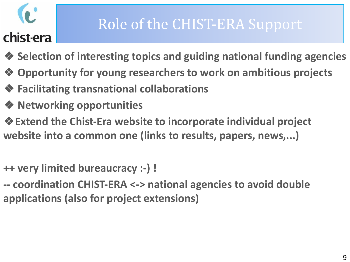## Role of the CHIST-ERA Support

- ❖ **Selection of interesting topics and guiding national funding agencies**
- ❖ **Opportunity for young researchers to work on ambitious projects**
- ❖ **Facilitating transnational collaborations**
- ❖ **Networking opportunities**
- ❖**Extend the Chist-Era website to incorporate individual project website into a common one (links to results, papers, news,...)**
- **++ very limited bureaucracy :-) !**
- **-- coordination CHIST-ERA <-> national agencies to avoid double applications (also for project extensions)**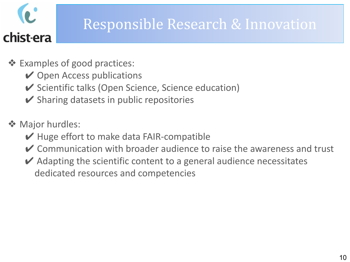

## Responsible Research & Innovation

- ❖ Examples of good practices:
	- **✓ Open Access publications**
	- ✔ Scientific talks (Open Science, Science education)
	- $\triangleright$  Sharing datasets in public repositories
- ❖ Major hurdles:
	- $\vee$  Huge effort to make data FAIR-compatible
	- $\vee$  Communication with broader audience to raise the awareness and trust
	- $\vee$  Adapting the scientific content to a general audience necessitates dedicated resources and competencies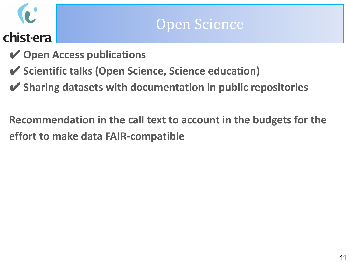### Open Science

- ✔ **Open Access publications**
- ✔ **Scientific talks (Open Science, Science education)**
- ✔ **Sharing datasets with documentation in public repositories**

**Recommendation in the call text to account in the budgets for the effort to make data FAIR-compatible**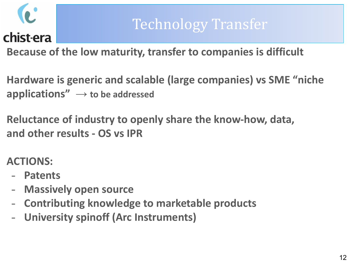

## Technology Transfer

**Because of the low maturity, transfer to companies is difficult**

**Hardware is generic and scalable (large companies) vs SME "niche applications" → to be addressed**

**Reluctance of industry to openly share the know-how, data, and other results - OS vs IPR**

**ACTIONS:**

- **- Patents**
- **- Massively open source**
- **- Contributing knowledge to marketable products**
- **- University spinoff (Arc Instruments)**